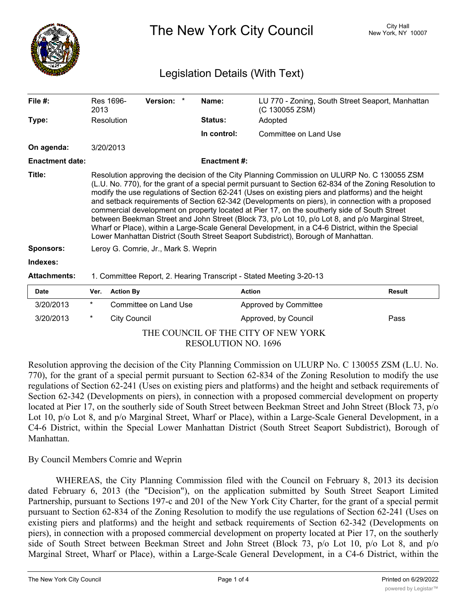

The New York City Council New York, NY 10007

## Legislation Details (With Text)

| File $#$ :             | Res 1696-<br>2013                                                                                                                                                                                                                                                                                                                                                                                                                                                                                                                                                                                                                                                                                                                                                                                                  | <b>Version:</b> | Name:               | (C 130055 ZSM)                                                      | LU 770 - Zoning, South Street Seaport, Manhattan |  |
|------------------------|--------------------------------------------------------------------------------------------------------------------------------------------------------------------------------------------------------------------------------------------------------------------------------------------------------------------------------------------------------------------------------------------------------------------------------------------------------------------------------------------------------------------------------------------------------------------------------------------------------------------------------------------------------------------------------------------------------------------------------------------------------------------------------------------------------------------|-----------------|---------------------|---------------------------------------------------------------------|--------------------------------------------------|--|
| Type:                  | Resolution                                                                                                                                                                                                                                                                                                                                                                                                                                                                                                                                                                                                                                                                                                                                                                                                         |                 | <b>Status:</b>      | Adopted                                                             |                                                  |  |
|                        |                                                                                                                                                                                                                                                                                                                                                                                                                                                                                                                                                                                                                                                                                                                                                                                                                    |                 | In control:         | Committee on Land Use                                               |                                                  |  |
| On agenda:             | 3/20/2013                                                                                                                                                                                                                                                                                                                                                                                                                                                                                                                                                                                                                                                                                                                                                                                                          |                 |                     |                                                                     |                                                  |  |
| <b>Enactment date:</b> |                                                                                                                                                                                                                                                                                                                                                                                                                                                                                                                                                                                                                                                                                                                                                                                                                    |                 | <b>Enactment #:</b> |                                                                     |                                                  |  |
| Title:                 | Resolution approving the decision of the City Planning Commission on ULURP No. C 130055 ZSM<br>(L.U. No. 770), for the grant of a special permit pursuant to Section 62-834 of the Zoning Resolution to<br>modify the use regulations of Section 62-241 (Uses on existing piers and platforms) and the height<br>and setback requirements of Section 62-342 (Developments on piers), in connection with a proposed<br>commercial development on property located at Pier 17, on the southerly side of South Street<br>between Beekman Street and John Street (Block 73, p/o Lot 10, p/o Lot 8, and p/o Marginal Street,<br>Wharf or Place), within a Large-Scale General Development, in a C4-6 District, within the Special<br>Lower Manhattan District (South Street Seaport Subdistrict), Borough of Manhattan. |                 |                     |                                                                     |                                                  |  |
| <b>Sponsors:</b>       | Leroy G. Comrie, Jr., Mark S. Weprin                                                                                                                                                                                                                                                                                                                                                                                                                                                                                                                                                                                                                                                                                                                                                                               |                 |                     |                                                                     |                                                  |  |
| Indexes:               |                                                                                                                                                                                                                                                                                                                                                                                                                                                                                                                                                                                                                                                                                                                                                                                                                    |                 |                     |                                                                     |                                                  |  |
| <b>Attachments:</b>    |                                                                                                                                                                                                                                                                                                                                                                                                                                                                                                                                                                                                                                                                                                                                                                                                                    |                 |                     | 1. Committee Report, 2. Hearing Transcript - Stated Meeting 3-20-13 |                                                  |  |

| <b>Date</b>                         | Ver.   | Action By             | Action                       | Result |  |
|-------------------------------------|--------|-----------------------|------------------------------|--------|--|
| 3/20/2013                           | $\ast$ | Committee on Land Use | <b>Approved by Committee</b> |        |  |
| 3/20/2013                           | *      | City Council          | Approved, by Council         | Pass   |  |
| THE COUNCIL OF THE CITY OF NEW YORK |        |                       |                              |        |  |

RESOLUTION NO. 1696

Resolution approving the decision of the City Planning Commission on ULURP No. C 130055 ZSM (L.U. No. 770), for the grant of a special permit pursuant to Section 62-834 of the Zoning Resolution to modify the use regulations of Section 62-241 (Uses on existing piers and platforms) and the height and setback requirements of Section 62-342 (Developments on piers), in connection with a proposed commercial development on property located at Pier 17, on the southerly side of South Street between Beekman Street and John Street (Block 73, p/o Lot 10, p/o Lot 8, and p/o Marginal Street, Wharf or Place), within a Large-Scale General Development, in a C4-6 District, within the Special Lower Manhattan District (South Street Seaport Subdistrict), Borough of Manhattan.

## By Council Members Comrie and Weprin

WHEREAS, the City Planning Commission filed with the Council on February 8, 2013 its decision dated February 6, 2013 (the "Decision"), on the application submitted by South Street Seaport Limited Partnership, pursuant to Sections 197-c and 201 of the New York City Charter, for the grant of a special permit pursuant to Section 62-834 of the Zoning Resolution to modify the use regulations of Section 62-241 (Uses on existing piers and platforms) and the height and setback requirements of Section 62-342 (Developments on piers), in connection with a proposed commercial development on property located at Pier 17, on the southerly side of South Street between Beekman Street and John Street (Block 73, p/o Lot 10, p/o Lot 8, and p/o Marginal Street, Wharf or Place), within a Large-Scale General Development, in a C4-6 District, within the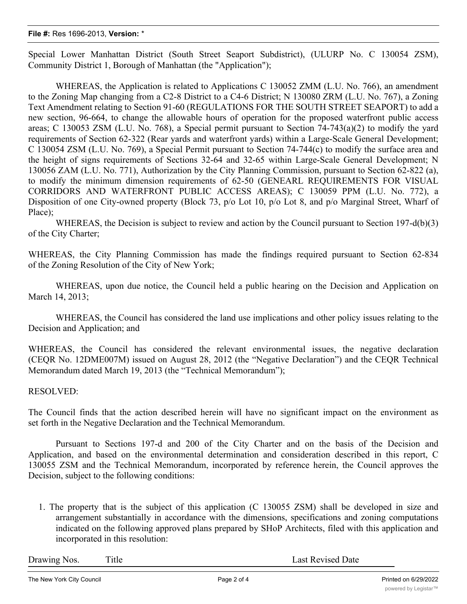## **File #:** Res 1696-2013, **Version:** \*

Special Lower Manhattan District (South Street Seaport Subdistrict), (ULURP No. C 130054 ZSM), Community District 1, Borough of Manhattan (the "Application");

WHEREAS, the Application is related to Applications C 130052 ZMM (L.U. No. 766), an amendment to the Zoning Map changing from a C2-8 District to a C4-6 District; N 130080 ZRM (L.U. No. 767), a Zoning Text Amendment relating to Section 91-60 (REGULATIONS FOR THE SOUTH STREET SEAPORT) to add a new section, 96-664, to change the allowable hours of operation for the proposed waterfront public access areas; C 130053 ZSM (L.U. No. 768), a Special permit pursuant to Section 74-743(a)(2) to modify the yard requirements of Section 62-322 (Rear yards and waterfront yards) within a Large-Scale General Development; C 130054 ZSM (L.U. No. 769), a Special Permit pursuant to Section 74-744(c) to modify the surface area and the height of signs requirements of Sections 32-64 and 32-65 within Large-Scale General Development; N 130056 ZAM (L.U. No. 771), Authorization by the City Planning Commission, pursuant to Section 62-822 (a), to modify the minimum dimension requirements of 62-50 (GENEARL REQUIREMENTS FOR VISUAL CORRIDORS AND WATERFRONT PUBLIC ACCESS AREAS); C 130059 PPM (L.U. No. 772), a Disposition of one City-owned property (Block 73, p/o Lot 10, p/o Lot 8, and p/o Marginal Street, Wharf of Place);

WHEREAS, the Decision is subject to review and action by the Council pursuant to Section 197-d(b)(3) of the City Charter;

WHEREAS, the City Planning Commission has made the findings required pursuant to Section 62-834 of the Zoning Resolution of the City of New York;

WHEREAS, upon due notice, the Council held a public hearing on the Decision and Application on March 14, 2013;

WHEREAS, the Council has considered the land use implications and other policy issues relating to the Decision and Application; and

WHEREAS, the Council has considered the relevant environmental issues, the negative declaration (CEQR No. 12DME007M) issued on August 28, 2012 (the "Negative Declaration") and the CEQR Technical Memorandum dated March 19, 2013 (the "Technical Memorandum");

## RESOLVED:

The Council finds that the action described herein will have no significant impact on the environment as set forth in the Negative Declaration and the Technical Memorandum.

Pursuant to Sections 197-d and 200 of the City Charter and on the basis of the Decision and Application, and based on the environmental determination and consideration described in this report, C 130055 ZSM and the Technical Memorandum, incorporated by reference herein, the Council approves the Decision, subject to the following conditions:

1. The property that is the subject of this application (C 130055 ZSM) shall be developed in size and arrangement substantially in accordance with the dimensions, specifications and zoning computations indicated on the following approved plans prepared by SHoP Architects, filed with this application and incorporated in this resolution: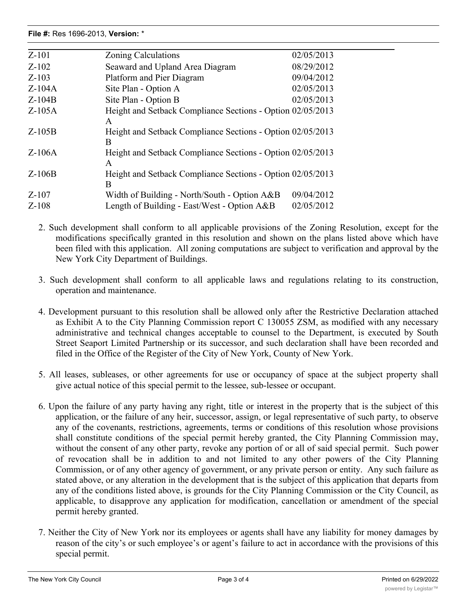| $Z-101$  | 02/05/2013<br>Zoning Calculations                               |
|----------|-----------------------------------------------------------------|
| $Z-102$  | 08/29/2012<br>Seaward and Upland Area Diagram                   |
| $Z-103$  | 09/04/2012<br>Platform and Pier Diagram                         |
| $Z-104A$ | 02/05/2013<br>Site Plan - Option A                              |
| $Z-104B$ | 02/05/2013<br>Site Plan - Option B                              |
| $Z-105A$ | Height and Setback Compliance Sections - Option 02/05/2013<br>A |
| $Z-105B$ | Height and Setback Compliance Sections - Option 02/05/2013<br>B |
| $Z-106A$ | Height and Setback Compliance Sections - Option 02/05/2013<br>A |
| $Z-106B$ | Height and Setback Compliance Sections - Option 02/05/2013<br>B |
| $Z-107$  | 09/04/2012<br>Width of Building - North/South - Option $A\&B$   |
| $Z-108$  | 02/05/2012<br>Length of Building - East/West - Option $A\&B$    |

2. Such development shall conform to all applicable provisions of the Zoning Resolution, except for the modifications specifically granted in this resolution and shown on the plans listed above which have been filed with this application. All zoning computations are subject to verification and approval by the New York City Department of Buildings.

- 3. Such development shall conform to all applicable laws and regulations relating to its construction, operation and maintenance.
- 4. Development pursuant to this resolution shall be allowed only after the Restrictive Declaration attached as Exhibit A to the City Planning Commission report C 130055 ZSM, as modified with any necessary administrative and technical changes acceptable to counsel to the Department, is executed by South Street Seaport Limited Partnership or its successor, and such declaration shall have been recorded and filed in the Office of the Register of the City of New York, County of New York.
- 5. All leases, subleases, or other agreements for use or occupancy of space at the subject property shall give actual notice of this special permit to the lessee, sub-lessee or occupant.
- 6. Upon the failure of any party having any right, title or interest in the property that is the subject of this application, or the failure of any heir, successor, assign, or legal representative of such party, to observe any of the covenants, restrictions, agreements, terms or conditions of this resolution whose provisions shall constitute conditions of the special permit hereby granted, the City Planning Commission may, without the consent of any other party, revoke any portion of or all of said special permit. Such power of revocation shall be in addition to and not limited to any other powers of the City Planning Commission, or of any other agency of government, or any private person or entity. Any such failure as stated above, or any alteration in the development that is the subject of this application that departs from any of the conditions listed above, is grounds for the City Planning Commission or the City Council, as applicable, to disapprove any application for modification, cancellation or amendment of the special permit hereby granted.
- 7. Neither the City of New York nor its employees or agents shall have any liability for money damages by reason of the city's or such employee's or agent's failure to act in accordance with the provisions of this special permit.